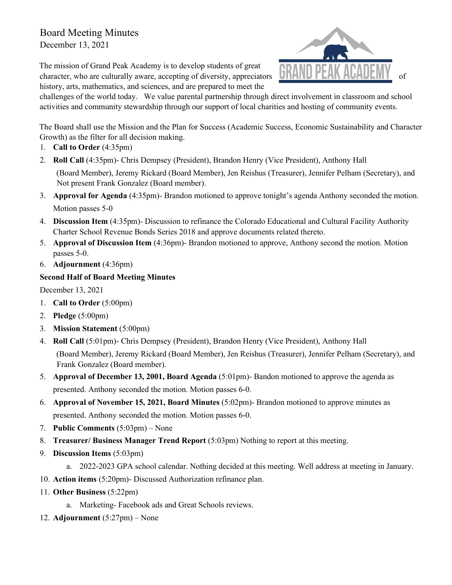## Board Meeting Minutes

December 13, 2021

The mission of Grand Peak Academy is to develop students of great character, who are culturally aware, accepting of diversity, appreciators history, arts, mathematics, and sciences, and are prepared to meet the



challenges of the world today. We value parental partnership through direct involvement in classroom and school activities and community stewardship through our support of local charities and hosting of community events.

The Board shall use the Mission and the Plan for Success (Academic Success, Economic Sustainability and Character Growth) as the filter for all decision making.

- 1. **Call to Order** (4:35pm)
- 2. **Roll Call** (4:35pm)- Chris Dempsey (President), Brandon Henry (Vice President), Anthony Hall (Board Member), Jeremy Rickard (Board Member), Jen Reishus (Treasurer), Jennifer Pelham (Secretary), and Not present Frank Gonzalez (Board member).
- 3. **Approval for Agenda** (4:35pm)- Brandon motioned to approve tonight's agenda Anthony seconded the motion. Motion passes 5-0
- 4. **Discussion Item** (4:35pm)- Discussion to refinance the Colorado Educational and Cultural Facility Authority Charter School Revenue Bonds Series 2018 and approve documents related thereto.
- 5. **Approval of Discussion Item** (4:36pm)- Brandon motioned to approve, Anthony second the motion. Motion passes 5-0.
- 6. **Adjournment** (4:36pm)

## **Second Half of Board Meeting Minutes**

December 13, 2021

- 1. **Call to Order** (5:00pm)
- 2. **Pledge** (5:00pm)
- 3. **Mission Statement** (5:00pm)
- 4. **Roll Call** (5:01pm)- Chris Dempsey (President), Brandon Henry (Vice President), Anthony Hall (Board Member), Jeremy Rickard (Board Member), Jen Reishus (Treasurer), Jennifer Pelham (Secretary), and Frank Gonzalez (Board member).
- 5. **Approval of December 13, 2001, Board Agenda** (5:01pm)- Bandon motioned to approve the agenda as presented. Anthony seconded the motion. Motion passes 6-0.
- 6. **Approval of November 15, 2021, Board Minutes** (5:02pm)- Brandon motioned to approve minutes as presented. Anthony seconded the motion. Motion passes 6-0.
- 7. **Public Comments** (5:03pm) None
- 8. **Treasurer/ Business Manager Trend Report** (5:03pm) Nothing to report at this meeting.
- 9. **Discussion Items** (5:03pm)
	- a. 2022-2023 GPA school calendar. Nothing decided at this meeting. Well address at meeting in January.
- 10. **Action items** (5:20pm)- Discussed Authorization refinance plan.
- 11. **Other Business** (5:22pm)
	- a. Marketing- Facebook ads and Great Schools reviews.
- 12. **Adjournment** (5:27pm) None